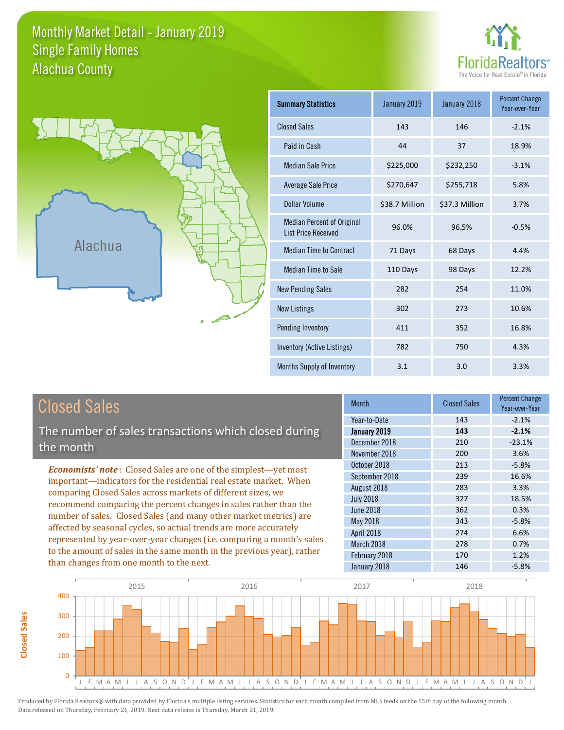#### Monthly Market Detail - January 2019 Alachua County Single Family Homes





**Closed Sales**

**Closed Sales** 

| <b>Summary Statistics</b>                                       | January 2019<br>January 2018 |                | <b>Percent Change</b><br>Year-over-Year |
|-----------------------------------------------------------------|------------------------------|----------------|-----------------------------------------|
| <b>Closed Sales</b>                                             | 143                          | 146            | $-2.1%$                                 |
| Paid in Cash                                                    | 44                           | 37             | 18.9%                                   |
| <b>Median Sale Price</b>                                        | \$225,000                    | \$232,250      | $-3.1%$                                 |
| <b>Average Sale Price</b>                                       | \$270,647                    | \$255,718      | 5.8%                                    |
| Dollar Volume                                                   | \$38.7 Million               | \$37.3 Million | 3.7%                                    |
| <b>Median Percent of Original</b><br><b>List Price Received</b> | 96.0%                        | 96.5%          | $-0.5%$                                 |
| <b>Median Time to Contract</b>                                  | 71 Days                      | 68 Days        | 4.4%                                    |
| <b>Median Time to Sale</b>                                      | 110 Days                     | 98 Days        | 12.2%                                   |
| <b>New Pending Sales</b>                                        | 282                          | 254            | 11.0%                                   |
| <b>New Listings</b>                                             | 302                          | 273            | 10.6%                                   |
| Pending Inventory                                               | 411                          | 352            | 16.8%                                   |
| Inventory (Active Listings)                                     | 782                          | 750            | 4.3%                                    |
| Months Supply of Inventory                                      | 3.1                          | 3.0            | 3.3%                                    |

| <b>Closed Sales</b>                                                                                                                                                                                         | <b>Month</b>                                                   | <b>Closed Sales</b>      | <b>Percent Change</b><br>Year-over-Year |
|-------------------------------------------------------------------------------------------------------------------------------------------------------------------------------------------------------------|----------------------------------------------------------------|--------------------------|-----------------------------------------|
| The number of sales transactions which closed during<br>the month                                                                                                                                           | Year-to-Date<br>January 2019<br>December 2018<br>November 2018 | 143<br>143<br>210<br>200 | $-2.1%$<br>$-2.1%$<br>$-23.1%$<br>3.6%  |
| <b>Economists' note:</b> Closed Sales are one of the simplest—yet most<br>important-indicators for the residential real estate market. When<br>comparing Closed Sales across markets of different sizes, we | October 2018<br>September 2018<br>August 2018                  | 213<br>239<br>283        | $-5.8%$<br>16.6%<br>3.3%                |
| recommend comparing the percent changes in sales rather than the<br>number of sales. Closed Sales (and many other market metrics) are<br>affected by seasonal cycles, so actual trends are more accurately  | <b>July 2018</b><br><b>June 2018</b><br>May 2018<br>April 2018 | 327<br>362<br>343<br>274 | 18.5%<br>0.3%<br>$-5.8%$<br>6.6%        |
| represented by year-over-year changes (i.e. comparing a month's sales<br>to the amount of sales in the same month in the previous year), rather<br>than changes from one month to the next.                 | March 2018<br>February 2018<br>January 2018                    | 278<br>170<br>146        | 0.7%<br>1.2%<br>$-5.8%$                 |

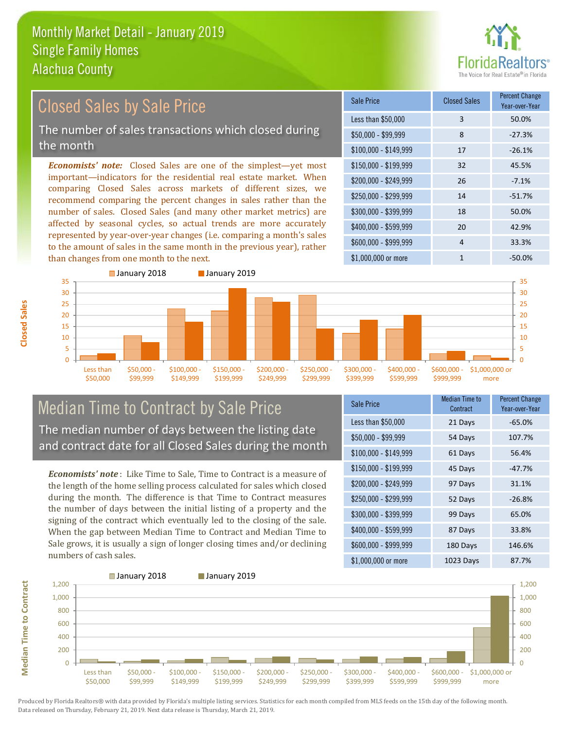than changes from one month to the next.



#### *Economists' note:* Closed Sales are one of the simplest—yet most important—indicators for the residential real estate market. When comparing Closed Sales across markets of different sizes, we recommend comparing the percent changes in sales rather than the number of sales. Closed Sales (and many other market metrics) are affected by seasonal cycles, so actual trends are more accurately represented by year-over-year changes (i.e. comparing a month's sales  $$250,000 - $299,999$  14  $-51.7\%$ \$300,000 - \$399,999 18 50.0% \$400,000 - \$599,999 20 42.9% \$150,000 - \$199,999 32 45.5% \$200,000 - \$249,999 26 -7.1% \$100,000 - \$149,999 17 -26.1% Sale Price Closed Sales Percent Change Year-over-Year Less than \$50,000 3 50.0%  $$50,000 - $99,999$  8 -27.3% Closed Sales by Sale Price The number of sales transactions which closed during the month



#### Median Time to Contract by Sale Price The median number of days between the listing date and contract date for all Closed Sales during the month

to the amount of sales in the same month in the previous year), rather

*Economists' note* : Like Time to Sale, Time to Contract is a measure of the length of the home selling process calculated for sales which closed during the month. The difference is that Time to Contract measures the number of days between the initial listing of a property and the signing of the contract which eventually led to the closing of the sale. When the gap between Median Time to Contract and Median Time to Sale grows, it is usually a sign of longer closing times and/or declining numbers of cash sales.

| <b>Sale Price</b>     | Median Time to<br>Contract | Percent Change<br>Year-over-Year |
|-----------------------|----------------------------|----------------------------------|
| Less than \$50,000    | 21 Days                    | $-65.0%$                         |
| $$50,000 - $99,999$   | 54 Days                    | 107.7%                           |
| $$100,000 - $149,999$ | 61 Days                    | 56.4%                            |
| $$150,000 - $199,999$ | 45 Days                    | $-47.7%$                         |
| \$200,000 - \$249,999 | 97 Days                    | 31.1%                            |
| \$250,000 - \$299,999 | 52 Days                    | $-26.8%$                         |
| \$300,000 - \$399,999 | 99 Days                    | 65.0%                            |
| \$400,000 - \$599,999 | 87 Days                    | 33.8%                            |
| \$600,000 - \$999,999 | 180 Days                   | 146.6%                           |
| \$1,000,000 or more   | 1023 Days                  | 87.7%                            |

\$1,000,000 or more 1  $-50.0\%$ 

\$600,000 - \$999,999 4 33.3%



**Closed Sales**

**Median Time to Contract Median Time to Contract**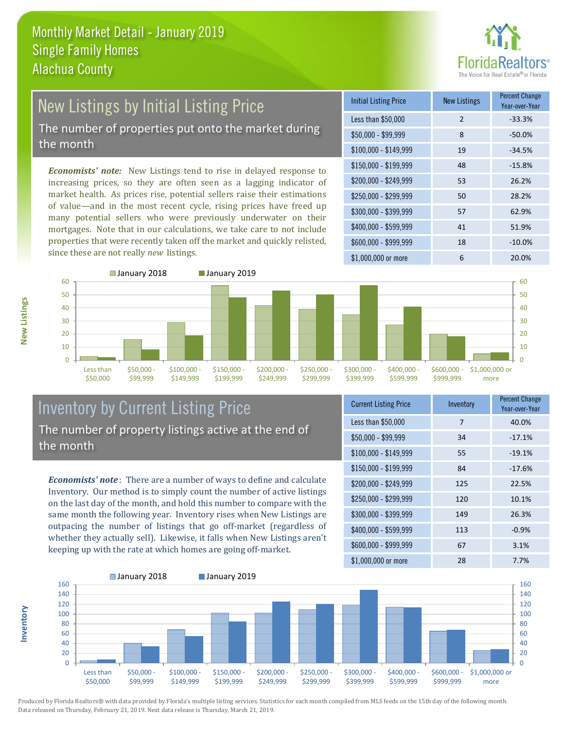

### New Listings by Initial Listing Price The number of properties put onto the market during the month

*Economists' note:* New Listings tend to rise in delayed response to increasing prices, so they are often seen as a lagging indicator of market health. As prices rise, potential sellers raise their estimations of value—and in the most recent cycle, rising prices have freed up many potential sellers who were previously underwater on their mortgages. Note that in our calculations, we take care to not include properties that were recently taken off the market and quickly relisted, since these are not really *new* listings.

| <b>Initial Listing Price</b> | <b>New Listings</b> | <b>Percent Change</b><br>Year-over-Year |
|------------------------------|---------------------|-----------------------------------------|
| Less than \$50,000           | $\overline{2}$      | $-33.3%$                                |
| $$50,000 - $99,999$          | 8                   | $-50.0%$                                |
| $$100,000 - $149,999$        | 19                  | $-34.5%$                                |
| $$150,000 - $199,999$        | 48                  | $-15.8%$                                |
| \$200,000 - \$249,999        | 53                  | 26.2%                                   |
| $$250,000 - $299,999$        | 50                  | 28.2%                                   |
| \$300,000 - \$399,999        | 57                  | 62.9%                                   |
| \$400,000 - \$599,999        | 41                  | 51.9%                                   |
| \$600,000 - \$999,999        | 18                  | $-10.0%$                                |
| \$1,000,000 or more          | 6                   | 20.0%                                   |



#### Inventory by Current Listing Price The number of property listings active at the end of the month

*Economists' note* : There are a number of ways to define and calculate Inventory. Our method is to simply count the number of active listings on the last day of the month, and hold this number to compare with the same month the following year. Inventory rises when New Listings are outpacing the number of listings that go off-market (regardless of whether they actually sell). Likewise, it falls when New Listings aren't keeping up with the rate at which homes are going off-market.

| <b>Current Listing Price</b> | Inventory | <b>Percent Change</b><br>Year-over-Year |
|------------------------------|-----------|-----------------------------------------|
| Less than \$50,000           | 7         | 40.0%                                   |
| $$50,000 - $99,999$          | 34        | $-17.1%$                                |
| $$100,000 - $149,999$        | 55        | $-19.1%$                                |
| $$150,000 - $199,999$        | 84        | $-17.6%$                                |
| \$200,000 - \$249,999        | 125       | 22.5%                                   |
| \$250,000 - \$299,999        | 120       | 10.1%                                   |
| \$300,000 - \$399,999        | 149       | 26.3%                                   |
| \$400,000 - \$599,999        | 113       | $-0.9%$                                 |
| \$600,000 - \$999,999        | 67        | 3.1%                                    |
| \$1,000,000 or more          | 28        | 7.7%                                    |



**Inventory**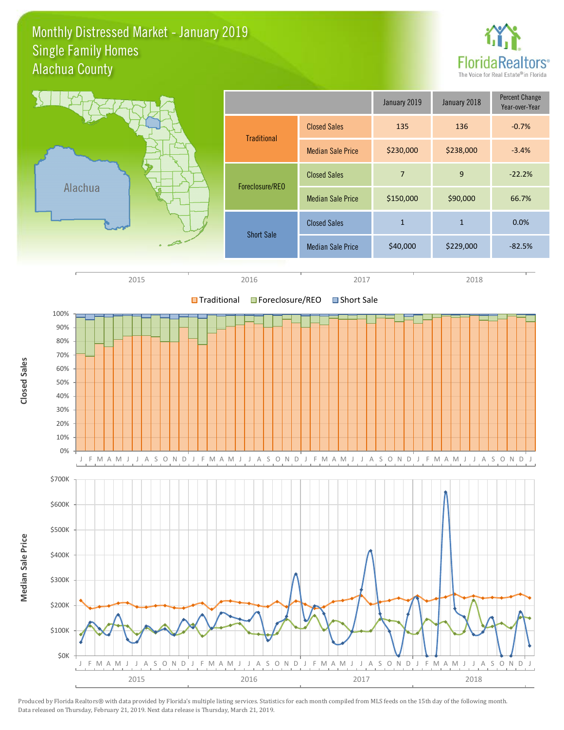#### Monthly Distressed Market - January 2019 Alachua County Single Family Homes



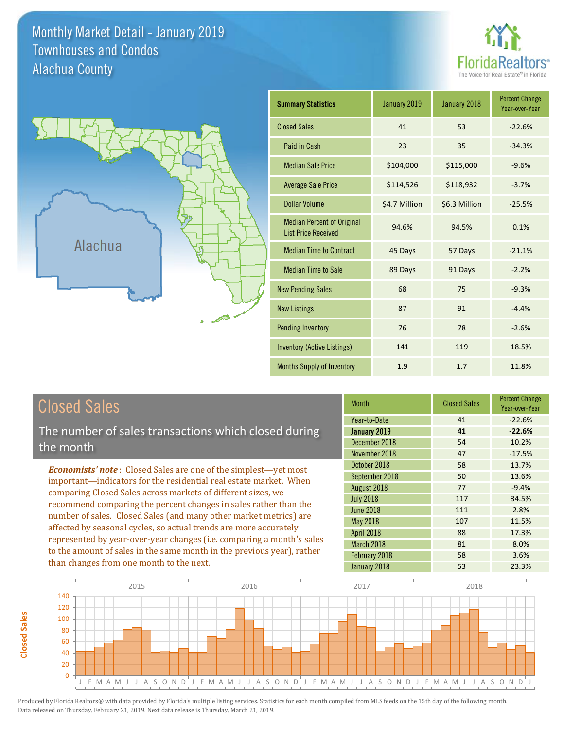Monthly Market Detail - January 2019 Alachua County Townhouses and Condos





**Closed Sales**

**Closed Sales** 

| <b>Summary Statistics</b>                                       | January 2019  | January 2018  | <b>Percent Change</b><br>Year-over-Year |
|-----------------------------------------------------------------|---------------|---------------|-----------------------------------------|
| <b>Closed Sales</b>                                             | 41            | 53            | $-22.6%$                                |
| Paid in Cash                                                    | 23            | 35            | $-34.3%$                                |
| <b>Median Sale Price</b>                                        | \$104,000     | \$115,000     | $-9.6%$                                 |
| <b>Average Sale Price</b>                                       | \$114,526     | \$118,932     | $-3.7%$                                 |
| <b>Dollar Volume</b>                                            | \$4.7 Million | \$6.3 Million | $-25.5%$                                |
| <b>Median Percent of Original</b><br><b>List Price Received</b> | 94.6%         | 94.5%         | 0.1%                                    |
| <b>Median Time to Contract</b>                                  | 45 Days       | 57 Days       | $-21.1%$                                |
| <b>Median Time to Sale</b>                                      | 89 Days       | 91 Days       | $-2.2%$                                 |
| <b>New Pending Sales</b>                                        | 68            | 75            | $-9.3%$                                 |
| <b>New Listings</b>                                             | 87            | 91            | $-4.4%$                                 |
| Pending Inventory                                               | 76            | 78            | $-2.6%$                                 |
| <b>Inventory (Active Listings)</b>                              | 141           | 119           | 18.5%                                   |
| <b>Months Supply of Inventory</b>                               | 1.9           | 1.7           | 11.8%                                   |

| <b>Closed Sales</b>                                                                                                                             | <b>Month</b>      | <b>Closed Sales</b> | <b>Percent Change</b><br>Year-over-Year |
|-------------------------------------------------------------------------------------------------------------------------------------------------|-------------------|---------------------|-----------------------------------------|
|                                                                                                                                                 | Year-to-Date      | 41                  | $-22.6%$                                |
| The number of sales transactions which closed during                                                                                            | January 2019      | 41                  | $-22.6%$                                |
| the month                                                                                                                                       | December 2018     | 54                  | 10.2%                                   |
|                                                                                                                                                 | November 2018     | 47                  | $-17.5%$                                |
| <b>Economists' note:</b> Closed Sales are one of the simplest—yet most                                                                          | October 2018      | 58                  | 13.7%                                   |
| important-indicators for the residential real estate market. When                                                                               | September 2018    | 50                  | 13.6%                                   |
| comparing Closed Sales across markets of different sizes, we                                                                                    | August 2018       | 77                  | $-9.4%$                                 |
| recommend comparing the percent changes in sales rather than the                                                                                | <b>July 2018</b>  | 117                 | 34.5%                                   |
| number of sales. Closed Sales (and many other market metrics) are                                                                               | <b>June 2018</b>  | 111                 | 2.8%                                    |
|                                                                                                                                                 | <b>May 2018</b>   | 107                 | 11.5%                                   |
| affected by seasonal cycles, so actual trends are more accurately                                                                               | <b>April 2018</b> | 88                  | 17.3%                                   |
| represented by year-over-year changes (i.e. comparing a month's sales<br>to the amount of sales in the same month in the previous year), rather | March 2018        | 81                  | 8.0%                                    |
|                                                                                                                                                 | February 2018     | 58                  | 3.6%                                    |
| than changes from one month to the next.                                                                                                        | January 2018      | 53                  | 23.3%                                   |

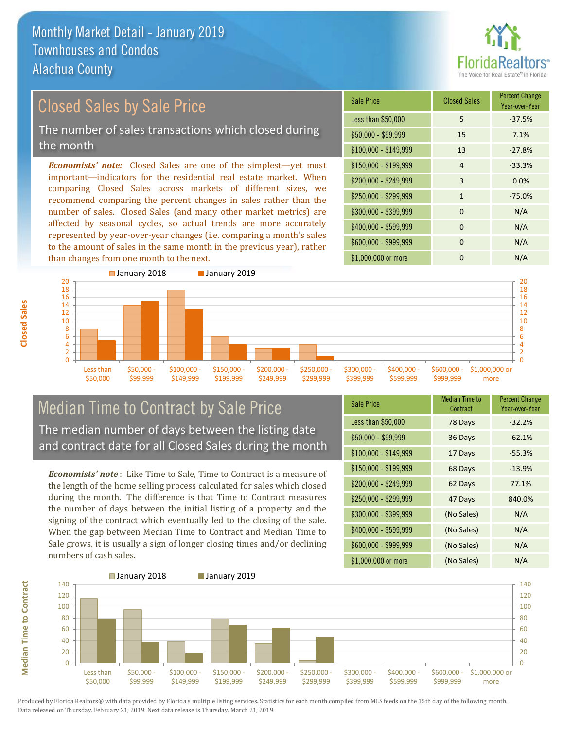

# Closed Sales by Sale Price

The number of sales transactions which closed during the month

*Economists' note:* Closed Sales are one of the simplest—yet most important—indicators for the residential real estate market. When comparing Closed Sales across markets of different sizes, we recommend comparing the percent changes in sales rather than the number of sales. Closed Sales (and many other market metrics) are affected by seasonal cycles, so actual trends are more accurately represented by year-over-year changes (i.e. comparing a month's sales to the amount of sales in the same month in the previous year), rather than changes from one month to the next.





#### Median Time to Contract by Sale Price The median number of days between the listing date and contract date for all Closed Sales during the month

*Economists' note* : Like Time to Sale, Time to Contract is a measure of the length of the home selling process calculated for sales which closed during the month. The difference is that Time to Contract measures the number of days between the initial listing of a property and the signing of the contract which eventually led to the closing of the sale. When the gap between Median Time to Contract and Median Time to Sale grows, it is usually a sign of longer closing times and/or declining numbers of cash sales.

| <b>Sale Price</b>     | Median Time to<br>Contract | <b>Percent Change</b><br>Year-over-Year |
|-----------------------|----------------------------|-----------------------------------------|
| Less than \$50,000    | 78 Days                    | $-32.2%$                                |
| $$50,000 - $99,999$   | 36 Days                    | $-62.1%$                                |
| $$100,000 - $149,999$ | 17 Days                    | $-55.3%$                                |
| $$150,000 - $199,999$ | 68 Days                    | $-13.9%$                                |
| \$200,000 - \$249,999 | 62 Days                    | 77.1%                                   |
| \$250,000 - \$299,999 | 47 Days                    | 840.0%                                  |
| \$300,000 - \$399,999 | (No Sales)                 | N/A                                     |
| \$400,000 - \$599,999 | (No Sales)                 | N/A                                     |
| \$600,000 - \$999,999 | (No Sales)                 | N/A                                     |
| \$1,000,000 or more   | (No Sales)                 | N/A                                     |

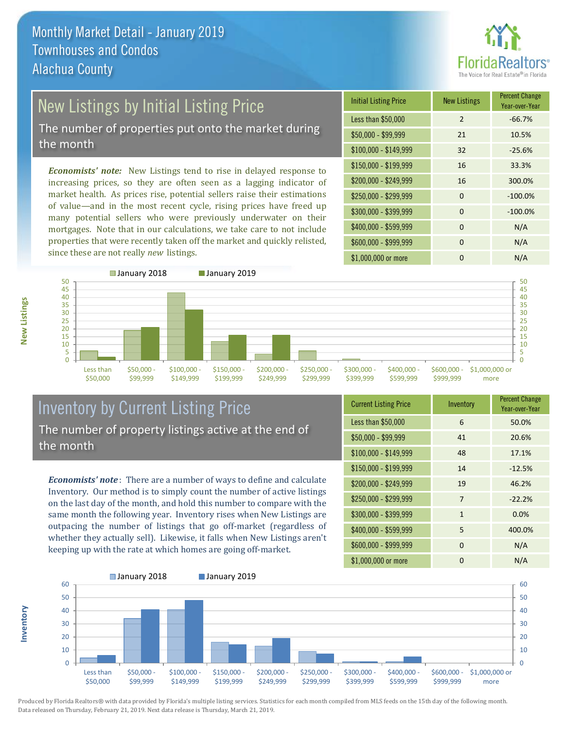

## New Listings by Initial Listing Price The number of properties put onto the market during

the month

*Economists' note:* New Listings tend to rise in delayed response to increasing prices, so they are often seen as a lagging indicator of market health. As prices rise, potential sellers raise their estimations of value—and in the most recent cycle, rising prices have freed up many potential sellers who were previously underwater on their mortgages. Note that in our calculations, we take care to not include properties that were recently taken off the market and quickly relisted, since these are not really *new* listings.

| <b>Initial Listing Price</b> | <b>New Listings</b> | <b>Percent Change</b><br>Year-over-Year |
|------------------------------|---------------------|-----------------------------------------|
| Less than \$50,000           | $\overline{2}$      | $-66.7%$                                |
| $$50,000 - $99,999$          | 21                  | 10.5%                                   |
| $$100,000 - $149,999$        | 32                  | $-25.6%$                                |
| $$150,000 - $199,999$        | 16                  | 33.3%                                   |
| \$200,000 - \$249,999        | 16                  | 300.0%                                  |
| \$250,000 - \$299,999        | $\Omega$            | $-100.0%$                               |
| \$300,000 - \$399,999        | 0                   | $-100.0%$                               |
| \$400,000 - \$599,999        | 0                   | N/A                                     |
| \$600,000 - \$999,999        | $\Omega$            | N/A                                     |
| \$1,000,000 or more          | n                   | N/A                                     |



#### Inventory by Current Listing Price The number of property listings active at the end of the month

*Economists' note* : There are a number of ways to define and calculate Inventory. Our method is to simply count the number of active listings on the last day of the month, and hold this number to compare with the same month the following year. Inventory rises when New Listings are outpacing the number of listings that go off-market (regardless of whether they actually sell). Likewise, it falls when New Listings aren't keeping up with the rate at which homes are going off-market.

| <b>Current Listing Price</b> | Inventory      | <b>Percent Change</b><br>Year-over-Year |
|------------------------------|----------------|-----------------------------------------|
| Less than \$50,000           | 6              | 50.0%                                   |
| $$50,000 - $99,999$          | 41             | 20.6%                                   |
| $$100,000 - $149,999$        | 48             | 17.1%                                   |
| $$150,000 - $199,999$        | 14             | $-12.5%$                                |
| \$200,000 - \$249,999        | 19             | 46.2%                                   |
| \$250,000 - \$299,999        | $\overline{7}$ | $-22.2%$                                |
| \$300,000 - \$399,999        | $\mathbf{1}$   | 0.0%                                    |
| \$400,000 - \$599,999        | 5              | 400.0%                                  |
| \$600,000 - \$999,999        | $\Omega$       | N/A                                     |
| \$1,000,000 or more          | 0              | N/A                                     |



Produced by Florida Realtors® with data provided by Florida's multiple listing services. Statistics for each month compiled from MLS feeds on the 15th day of the following month. Data released on Thursday, February 21, 2019. Next data release is Thursday, March 21, 2019.

**Inventory**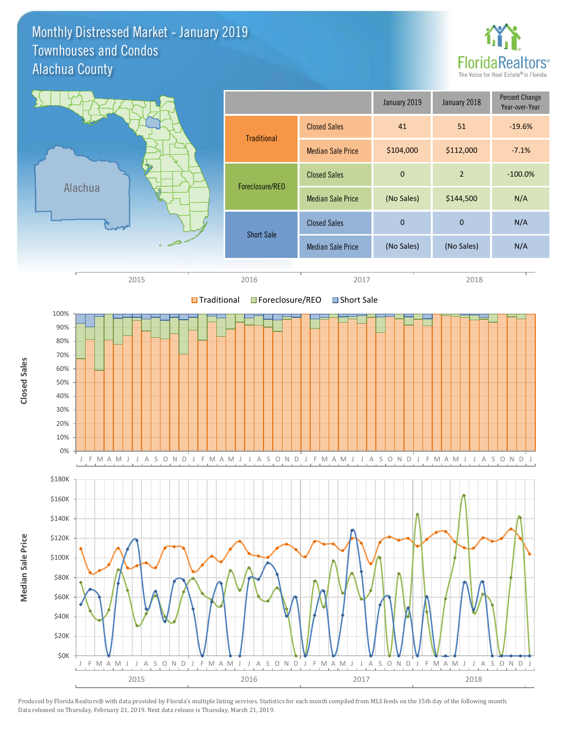#### Monthly Distressed Market - January 2019 Alachua County Townhouses and Condos



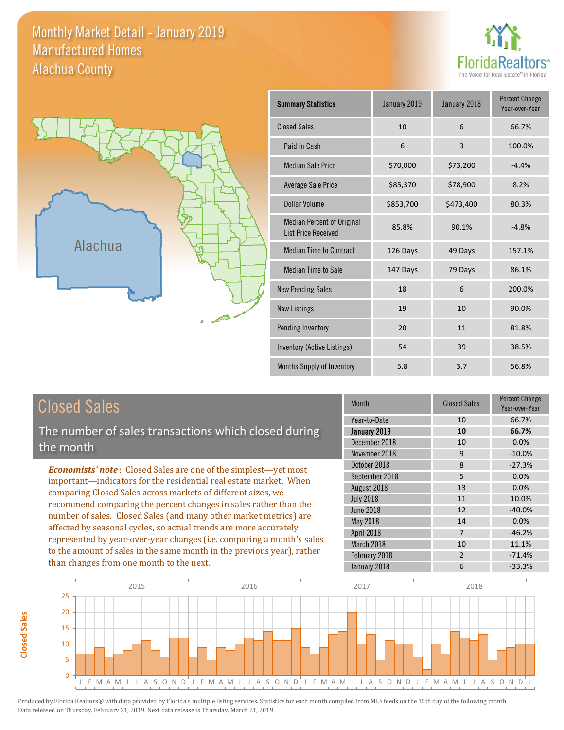#### Monthly Market Detail - January 2019 Alachua County Manufactured Homes





**Closed Sales**

**Closed Sales** 

| <b>Summary Statistics</b>                                       | January 2019 | January 2018 | <b>Percent Change</b><br>Year-over-Year |
|-----------------------------------------------------------------|--------------|--------------|-----------------------------------------|
| <b>Closed Sales</b>                                             | 10           | 6            | 66.7%                                   |
| Paid in Cash                                                    | 6            | 3            | 100.0%                                  |
| <b>Median Sale Price</b>                                        | \$70,000     | \$73,200     | $-4.4%$                                 |
| Average Sale Price                                              | \$85,370     | \$78,900     | 8.2%                                    |
| Dollar Volume                                                   | \$853,700    | \$473,400    |                                         |
| <b>Median Percent of Original</b><br><b>List Price Received</b> | 85.8%        | 90.1%        | $-4.8%$                                 |
| <b>Median Time to Contract</b>                                  | 126 Days     | 49 Days      | 157.1%                                  |
| <b>Median Time to Sale</b>                                      | 147 Days     | 79 Days      | 86.1%                                   |
| <b>New Pending Sales</b>                                        | 18           | 6            | 200.0%                                  |
| <b>New Listings</b>                                             | 19           | 10           | 90.0%                                   |
| Pending Inventory                                               | 20           | 11           | 81.8%                                   |
| Inventory (Active Listings)                                     | 54           | 39           | 38.5%                                   |
| Months Supply of Inventory                                      | 5.8          | 3.7          | 56.8%                                   |

| <b>Closed Sales</b>                                                                                                                                                                                                                                                                                                                                                                                                                                                                                                                                                                                                      | <b>Month</b>                                                                   | <b>Closed Sales</b>                               | <b>Percent Change</b><br>Year-over-Year           |
|--------------------------------------------------------------------------------------------------------------------------------------------------------------------------------------------------------------------------------------------------------------------------------------------------------------------------------------------------------------------------------------------------------------------------------------------------------------------------------------------------------------------------------------------------------------------------------------------------------------------------|--------------------------------------------------------------------------------|---------------------------------------------------|---------------------------------------------------|
| The number of sales transactions which closed during<br>the month                                                                                                                                                                                                                                                                                                                                                                                                                                                                                                                                                        | Year-to-Date<br>January 2019<br>December 2018<br>November 2018                 | 10<br>10<br>10<br>9                               | 66.7%<br>66.7%<br>0.0%<br>$-10.0%$                |
| <b>Economists' note:</b> Closed Sales are one of the simplest—yet most<br>important—indicators for the residential real estate market. When<br>comparing Closed Sales across markets of different sizes, we<br>recommend comparing the percent changes in sales rather than the<br>number of sales. Closed Sales (and many other market metrics) are<br>affected by seasonal cycles, so actual trends are more accurately<br>represented by year-over-year changes (i.e. comparing a month's sales<br>to the amount of sales in the same month in the previous year), rather<br>than changes from one month to the next. | October 2018<br>September 2018<br>August 2018<br><b>July 2018</b><br>June 2018 | 8<br>5<br>13<br>11<br>12                          | $-27.3%$<br>0.0%<br>0.0%<br>10.0%<br>$-40.0%$     |
|                                                                                                                                                                                                                                                                                                                                                                                                                                                                                                                                                                                                                          | May 2018<br>April 2018<br>March 2018<br>February 2018<br>January 2018          | 14<br>$\overline{7}$<br>10<br>$\overline{2}$<br>6 | 0.0%<br>$-46.2%$<br>11.1%<br>$-71.4%$<br>$-33.3%$ |

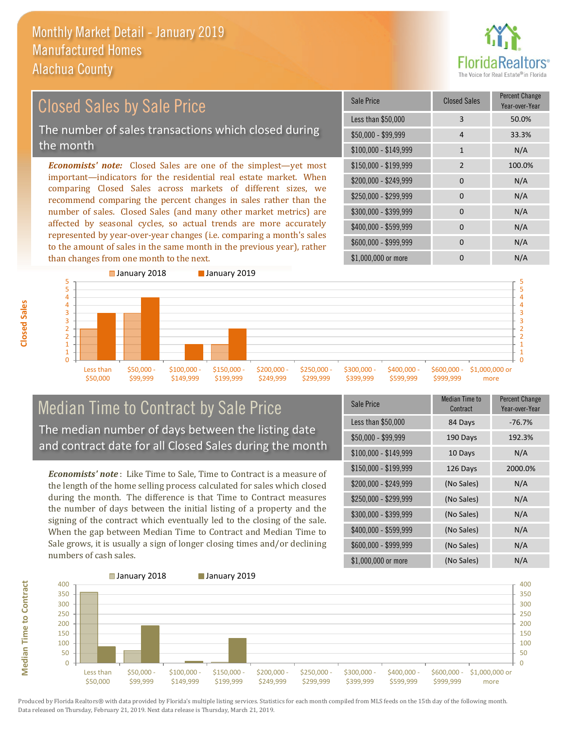

#### *Economists' note:* Closed Sales are one of the simplest—yet most important—indicators for the residential real estate market. When comparing Closed Sales across markets of different sizes, we recommend comparing the percent changes in sales rather than the number of sales. Closed Sales (and many other market metrics) are affected by seasonal cycles, so actual trends are more accurately \$250,000 - \$299,999 0 0 N/A \$300,000 - \$399,999 0 0 N/A  $$400,000 - $599,999$  0 N/A \$150,000 - \$199,999 2 100.0% \$200,000 - \$249,999 0 N/A  $$100,000 - $149,999$  1 N/A Sale Price Closed Sales Percent Change Year-over-Year Less than \$50,000 3 3 50.0% \$50,000 - \$99,999 4 33.3% Closed Sales by Sale Price The number of sales transactions which closed during the month

represented by year-over-year changes (i.e. comparing a month's sales to the amount of sales in the same month in the previous year), rather than changes from one month to the next. **January 2018 January 2019** 



#### Median Time to Contract by Sale Price The median number of days between the listing date and contract date for all Closed Sales during the month

*Economists' note* : Like Time to Sale, Time to Contract is a measure of the length of the home selling process calculated for sales which closed during the month. The difference is that Time to Contract measures the number of days between the initial listing of a property and the signing of the contract which eventually led to the closing of the sale. When the gap between Median Time to Contract and Median Time to Sale grows, it is usually a sign of longer closing times and/or declining numbers of cash sales.

| <b>Sale Price</b>     | <b>Median Time to</b><br>Contract | <b>Percent Change</b><br>Year-over-Year |
|-----------------------|-----------------------------------|-----------------------------------------|
| Less than \$50,000    | 84 Days                           | $-76.7%$                                |
| $$50,000 - $99,999$   | 190 Days                          | 192.3%                                  |
| $$100,000 - $149,999$ | 10 Days                           | N/A                                     |
| \$150,000 - \$199,999 | 126 Days                          | 2000.0%                                 |
| \$200,000 - \$249,999 | (No Sales)                        | N/A                                     |
| \$250,000 - \$299,999 | (No Sales)                        | N/A                                     |
| \$300,000 - \$399,999 | (No Sales)                        | N/A                                     |
| \$400,000 - \$599,999 | (No Sales)                        | N/A                                     |
| \$600,000 - \$999,999 | (No Sales)                        | N/A                                     |
| \$1,000,000 or more   | (No Sales)                        | N/A                                     |

\$1,000,000 or more 0 0 N/A

\$600,000 - \$999,999 0 0 N/A



**Closed Sales**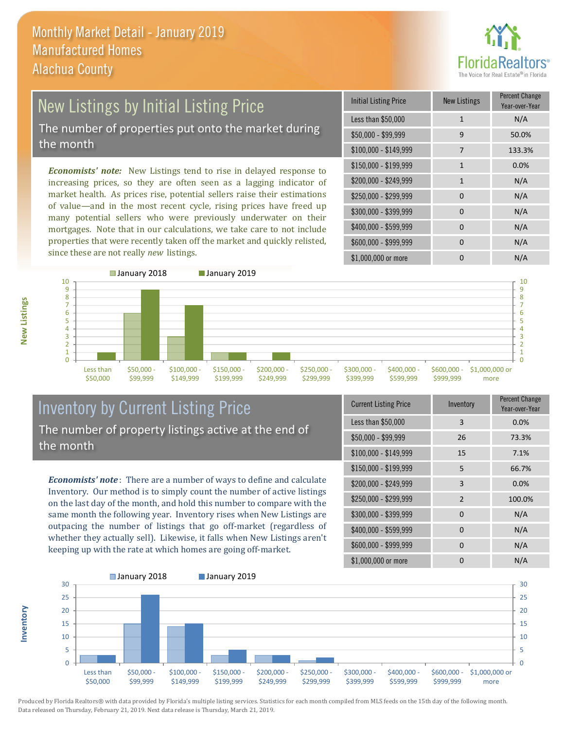

### New Listings by Initial Listing Price The number of properties put onto the market during the month

*Economists' note:* New Listings tend to rise in delayed response to increasing prices, so they are often seen as a lagging indicator of market health. As prices rise, potential sellers raise their estimations of value—and in the most recent cycle, rising prices have freed up many potential sellers who were previously underwater on their mortgages. Note that in our calculations, we take care to not include properties that were recently taken off the market and quickly relisted, since these are not really *new* listings.

| <b>Initial Listing Price</b> | <b>New Listings</b> | <b>Percent Change</b><br>Year-over-Year |
|------------------------------|---------------------|-----------------------------------------|
| Less than \$50,000           | $\mathbf{1}$        | N/A                                     |
| \$50,000 - \$99,999          | 9                   | 50.0%                                   |
| $$100,000 - $149,999$        | 7                   | 133.3%                                  |
| $$150,000 - $199,999$        | $\mathbf{1}$        | 0.0%                                    |
| \$200,000 - \$249,999        | $\mathbf{1}$        | N/A                                     |
| \$250,000 - \$299,999        | $\Omega$            | N/A                                     |
| \$300,000 - \$399,999        | $\Omega$            | N/A                                     |
| \$400,000 - \$599,999        | $\Omega$            | N/A                                     |
| \$600,000 - \$999,999        | 0                   | N/A                                     |
| \$1,000,000 or more          | 0                   | N/A                                     |



#### Inventory by Current Listing Price The number of property listings active at the end of the month

*Economists' note* : There are a number of ways to define and calculate Inventory. Our method is to simply count the number of active listings on the last day of the month, and hold this number to compare with the same month the following year. Inventory rises when New Listings are outpacing the number of listings that go off-market (regardless of whether they actually sell). Likewise, it falls when New Listings aren't keeping up with the rate at which homes are going off-market.

| <b>Current Listing Price</b> | Inventory      | Percent Change<br>Year-over-Year |
|------------------------------|----------------|----------------------------------|
| Less than \$50,000           | 3              | 0.0%                             |
| $$50,000 - $99,999$          | 26             | 73.3%                            |
| $$100,000 - $149,999$        | 15             | 7.1%                             |
| $$150,000 - $199,999$        | 5              | 66.7%                            |
| \$200,000 - \$249,999        | 3              | 0.0%                             |
| \$250,000 - \$299,999        | $\overline{2}$ | 100.0%                           |
| \$300,000 - \$399,999        | $\Omega$       | N/A                              |
| \$400,000 - \$599,999        | $\Omega$       | N/A                              |
| \$600,000 - \$999,999        | 0              | N/A                              |
| \$1,000,000 or more          | n              | N/A                              |



**Inventory**